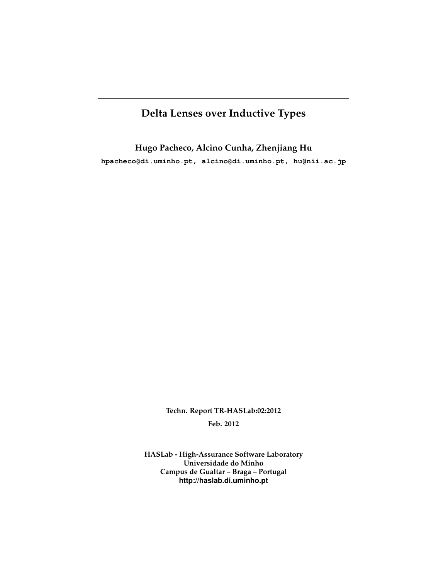# **Delta Lenses over Inductive Types**

**Hugo Pacheco, Alcino Cunha, Zhenjiang Hu hpacheco@di.uminho.pt, alcino@di.uminho.pt, hu@nii.ac.jp**

> **Techn. Report TR-HASLab:02:2012 Feb. 2012**

**HASLab - High-Assurance Software Laboratory Universidade do Minho Campus de Gualtar – Braga – Portugal http://haslab.di.uminho.pt**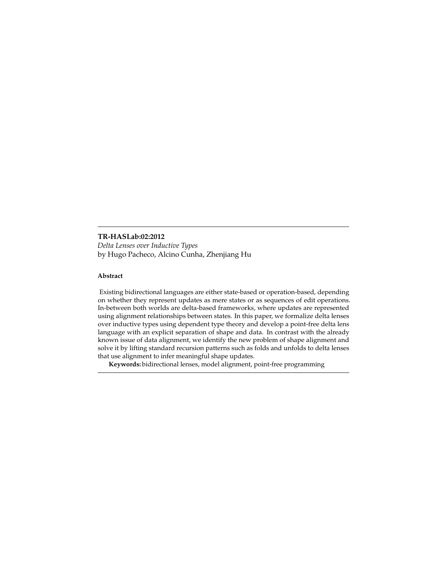#### **TR-HASLab:02:2012**

*Delta Lenses over Inductive Types* by Hugo Pacheco, Alcino Cunha, Zhenjiang Hu

#### **Abstract**

Existing bidirectional languages are either state-based or operation-based, depending on whether they represent updates as mere states or as sequences of edit operations. In-between both worlds are delta-based frameworks, where updates are represented using alignment relationships between states. In this paper, we formalize delta lenses over inductive types using dependent type theory and develop a point-free delta lens language with an explicit separation of shape and data. In contrast with the already known issue of data alignment, we identify the new problem of shape alignment and solve it by lifting standard recursion patterns such as folds and unfolds to delta lenses that use alignment to infer meaningful shape updates.

**Keywords:** bidirectional lenses, model alignment, point-free programming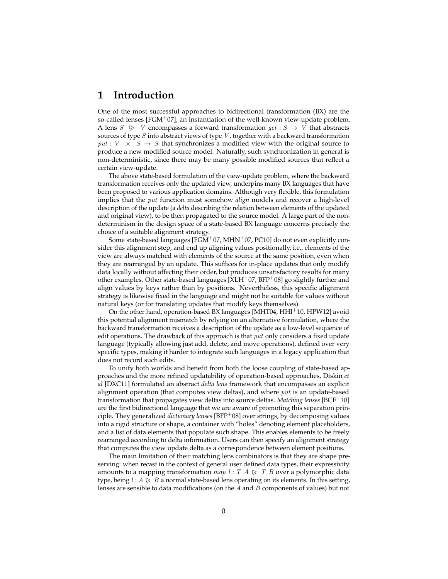### **1 Introduction**

One of the most successful approaches to bidirectional transformation (BX) are the so-called lenses  $[FGM^+07]$ , an instantiation of the well-known view-update problem. A lens  $S \geqslant V$  encompasses a forward transformation  $get : S \rightarrow V$  that abstracts sources of type  $S$  into abstract views of type  $V$ , together with a backward transformation put :  $V \times S \rightarrow S$  that synchronizes a modified view with the original source to produce a new modified source model. Naturally, such synchronization in general is non-deterministic, since there may be many possible modified sources that reflect a certain view-update.

The above state-based formulation of the view-update problem, where the backward transformation receives only the updated view, underpins many BX languages that have been proposed to various application domains. Although very flexible, this formulation implies that the put function must somehow *align* models and recover a high-level description of the update (a *delta* describing the relation between elements of the updated and original view), to be then propagated to the source model. A large part of the nondeterminism in the design space of a state-based BX language concerns precisely the choice of a suitable alignment strategy.

Some state-based languages [FGM+07, MHN+07, PC10] do not even explicitly consider this alignment step, and end up aligning values positionally, i.e., elements of the view are always matched with elements of the source at the same position, even when they are rearranged by an update. This suffices for in-place updates that only modify data locally without affecting their order, but produces unsatisfactory results for many other examples. Other state-based languages  $[XLH<sup>+</sup>07, BFP<sup>+</sup>08]$  go slightly further and align values by keys rather than by positions. Nevertheless, this specific alignment strategy is likewise fixed in the language and might not be suitable for values without natural keys (or for translating updates that modify keys themselves).

On the other hand, operation-based BX languages  $[MHT04, HHH<sup>+</sup>10, HPW12]$  avoid this potential alignment mismatch by relying on an alternative formulation, where the backward transformation receives a description of the update as a low-level sequence of edit operations. The drawback of this approach is that  $put$  only considers a fixed update language (typically allowing just add, delete, and move operations), defined over very specific types, making it harder to integrate such languages in a legacy application that does not record such edits.

To unify both worlds and benefit from both the loose coupling of state-based approaches and the more refined updatability of operation-based approaches, Diskin *et al* [DXC11] formulated an abstract *delta lens* framework that encompasses an explicit alignment operation (that computes view deltas), and where  $put$  is an update-based transformation that propagates view deltas into source deltas. *Matching lenses* [BCF<sup>+</sup>10] are the first bidirectional language that we are aware of promoting this separation principle. They generalized *dictionary lenses* [BFP<sup>+</sup>08] over strings, by decomposing values into a rigid structure or shape, a container with "holes" denoting element placeholders, and a list of data elements that populate such shape. This enables elements to be freely rearranged according to delta information. Users can then specify an alignment strategy that computes the view update delta as a correspondence between element positions.

The main limitation of their matching lens combinators is that they are shape preserving: when recast in the context of general user defined data types, their expressivity amounts to a mapping transformation map  $l : T A \geq T B$  over a polymorphic data type, being  $l : A \geq B$  a normal state-based lens operating on its elements. In this setting, lenses are sensible to data modifications (on the  $A$  and  $B$  components of values) but not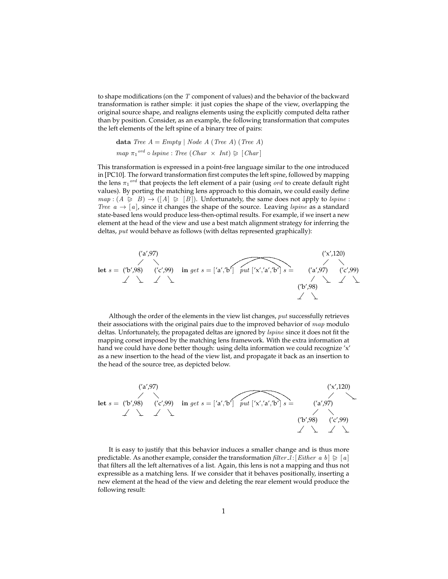to shape modifications (on the  $T$  component of values) and the behavior of the backward transformation is rather simple: it just copies the shape of the view, overlapping the original source shape, and realigns elements using the explicitly computed delta rather than by position. Consider, as an example, the following transformation that computes the left elements of the left spine of a binary tree of pairs:

**data** Tree 
$$
A = Empty | Node A (Tree A) (Tree A)
$$
  
map  $\pi_1^{ord} \circ lspine : Tree (Char \times Int) \geq [Char]$ 

This transformation is expressed in a point-free language similar to the one introduced in [PC10]. The forward transformation first computes the left spine, followed by mapping the lens  $\pi_1^{ord}$  that projects the left element of a pair (using ord to create default right values). By porting the matching lens approach to this domain, we could easily define  $map : (A \geq B) \rightarrow ([A] \geq [B])$ . Unfortunately, the same does not apply to *lspine* : Tree  $a \rightarrow [a]$ , since it changes the shape of the source. Leaving lspine as a standard state-based lens would produce less-then-optimal results. For example, if we insert a new element at the head of the view and use a best match alignment strategy for inferring the deltas, put would behave as follows (with deltas represented graphically):



Although the order of the elements in the view list changes,  $put$  successfully retrieves their associations with the original pairs due to the improved behavior of  $map$  modulo deltas. Unfortunately, the propagated deltas are ignored by *lspine* since it does not fit the mapping corset imposed by the matching lens framework. With the extra information at hand we could have done better though: using delta information we could recognize 'x' as a new insertion to the head of the view list, and propagate it back as an insertion to the head of the source tree, as depicted below.

$$
\begin{array}{ccc}\n & (a',97) & (x',120) \\
 \text{let } s = (b',98) & (c',99) & \text{in get } s = [a',b'] & \text{put } [x',a',b'] & s = & (a',97) \\
 & & & & & & \\
 & & & & & & & \\
 & & & & & & & \\
 & & & & & & & \\
 & & & & & & & & \\
 & & & & & & & & \\
 & & & & & & & & & \\
 & & & & & & & & & \\
 & & & & & & & & & \\
 & & & & & & & & & \\
 & & & & & & & & & & \\
 & & & & & & & & & & \\
 & & & & & & & & & & & \\
 & & & & & & & & & & & \\
 & & & & & & & & & & & & \\
 & & & & & & & & & & & & \\
 & & & & & & & & & & & & & \\
 & & & & & & & & & & & & & \\
 & & & & & & & & & & & & & \\
 & & & & & & & & & & & & & \\
 & & & & & & & & & & & & & \\
 & & & & &
$$

It is easy to justify that this behavior induces a smaller change and is thus more predictable. As another example, consider the transformation  $filter\_l$ : [Either a b]  $\geq a$ ] that filters all the left alternatives of a list. Again, this lens is not a mapping and thus not expressible as a matching lens. If we consider that it behaves positionally, inserting a new element at the head of the view and deleting the rear element would produce the following result: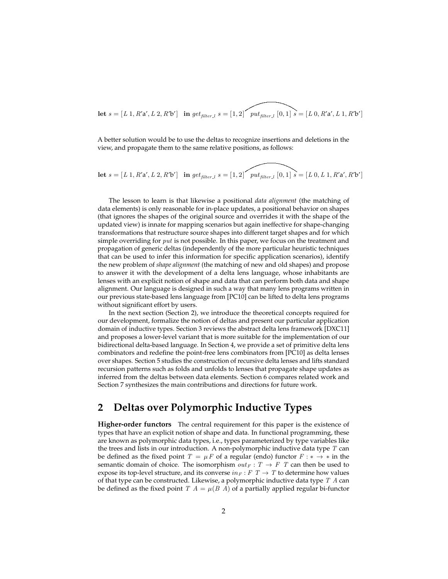Let 
$$
s = [L 1, R'a', L 2, R'b']
$$
 in  $get_{filter,l}$   $s = [1, 2]$   $put_{filter,l}$   $[0, 1]$   $s = [L 0, R'a', L 1, R'b']$ 

A better solution would be to use the deltas to recognize insertions and deletions in the view, and propagate them to the same relative positions, as follows:

Let 
$$
s = [L 1, R'a', L 2, R'b']
$$
 in  $get_{filter\_l} s = [1, 2]$   $put_{filter\_l} [0, 1] s = [L 0, L 1, R'a', R'b']$ 

The lesson to learn is that likewise a positional *data alignment* (the matching of data elements) is only reasonable for in-place updates, a positional behavior on shapes (that ignores the shapes of the original source and overrides it with the shape of the updated view) is innate for mapping scenarios but again ineffective for shape-changing transformations that restructure source shapes into different target shapes and for which simple overriding for  $put$  is not possible. In this paper, we focus on the treatment and propagation of generic deltas (independently of the more particular heuristic techniques that can be used to infer this information for specific application scenarios), identify the new problem of *shape alignment* (the matching of new and old shapes) and propose to answer it with the development of a delta lens language, whose inhabitants are lenses with an explicit notion of shape and data that can perform both data and shape alignment. Our language is designed in such a way that many lens programs written in our previous state-based lens language from [PC10] can be lifted to delta lens programs without significant effort by users.

In the next section (Section 2), we introduce the theoretical concepts required for our development, formalize the notion of deltas and present our particular application domain of inductive types. Section 3 reviews the abstract delta lens framework [DXC11] and proposes a lower-level variant that is more suitable for the implementation of our bidirectional delta-based language. In Section 4, we provide a set of primitive delta lens combinators and redefine the point-free lens combinators from [PC10] as delta lenses over shapes. Section 5 studies the construction of recursive delta lenses and lifts standard recursion patterns such as folds and unfolds to lenses that propagate shape updates as inferred from the deltas between data elements. Section 6 compares related work and Section 7 synthesizes the main contributions and directions for future work.

# **2 Deltas over Polymorphic Inductive Types**

**Higher-order functors** The central requirement for this paper is the existence of types that have an explicit notion of shape and data. In functional programming, these are known as polymorphic data types, i.e., types parameterized by type variables like the trees and lists in our introduction. A non-polymorphic inductive data type  $T$  can be defined as the fixed point  $T = \mu F$  of a regular (endo) functor  $F : * \rightarrow *$  in the semantic domain of choice. The isomorphism  $out_F : T \rightarrow F$  T can then be used to expose its top-level structure, and its converse  $in_F : F T \rightarrow T$  to determine how values of that type can be constructed. Likewise, a polymorphic inductive data type  $T A$  can be defined as the fixed point  $T A = \mu(B \ A)$  of a partially applied regular bi-functor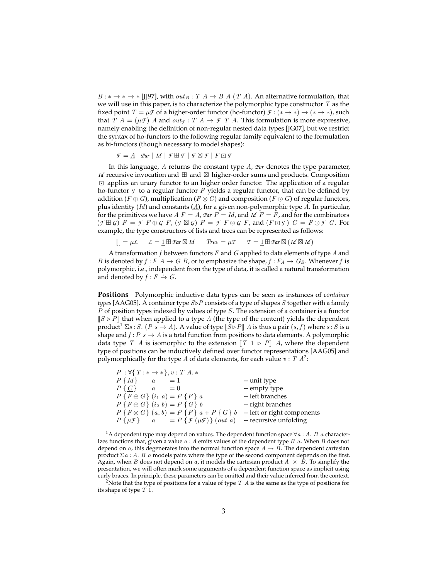$B: \ast \rightarrow \ast \rightarrow$  [JJ97], with  $out_B: T A \rightarrow B A (T A)$ . An alternative formulation, that we will use in this paper, is to characterize the polymorphic type constructor  $T$  as the fixed point  $T = \mu \mathcal{F}$  of a higher-order functor (ho-functor)  $\mathcal{F} : (* \rightarrow *) \rightarrow (* \rightarrow *)$ , such that  $T A = (\mu \mathcal{F}) A$  and  $out_{\mathcal{F}} : T A \rightarrow \mathcal{F} T A$ . This formulation is more expressive, namely enabling the definition of non-regular nested data types [JG07], but we restrict the syntax of ho-functors to the following regular family equivalent to the formulation as bi-functors (though necessary to model shapes):

 $\mathcal{F} = \underline{A} | \mathit{Par} | \mathit{Id} | \mathcal{F} \boxplus \mathcal{F} | \mathcal{F} \boxtimes \mathcal{F} | F \boxdot \mathcal{F}$ 

In this language, A returns the constant type A, *Par* denotes the type parameter, *Id* recursive invocation and  $\boxplus$  and  $\boxtimes$  higher-order sums and products. Composition  $\Box$  applies an unary functor to an higher order functor. The application of a regular ho-functor  $\mathcal F$  to a regular functor  $F$  yields a regular functor, that can be defined by addition ( $F \oplus G$ ), multiplication ( $F \otimes G$ ) and composition ( $F \odot G$ ) of regular functors, plus identity (*Id*) and constants  $(\underline{A})$ , for a given non-polymorphic type A. In particular, for the primitives we have  $\underline{A} F = \underline{A}$ ,  $\text{Par } F = Id$ , and  $Id F = F$ , and for the combinators  $(F \oplus G)$   $F = \mathcal{F} F \oplus \mathcal{G} F$ ,  $(F \boxtimes \mathcal{G}) F = \mathcal{F} F \otimes \mathcal{G} F$ , and  $(F \boxdot \mathcal{F}) G = F \odot \mathcal{F} G$ . For example, the type constructors of lists and trees can be represented as follows:

$$
[] = \mu \mathcal{L} \qquad \mathcal{L} = \underline{1} \boxplus \mathit{Par} \boxtimes \mathit{Id} \qquad \mathit{Tree} = \mu \mathcal{T} \qquad \mathcal{T} = \underline{1} \boxplus \mathit{Par} \boxtimes (\mathit{Id} \boxtimes \mathit{Id})
$$

A transformation  $f$  between functors  $F$  and  $G$  applied to data elements of type  $A$  and *B* is denoted by  $f : F A \to G B$ , or to emphasize the shape,  $f : F_A \to G_B$ . Whenever f is polymorphic, i.e., independent from the type of data, it is called a natural transformation and denoted by  $f : F \rightarrow G$ .

**Positions** Polymorphic inductive data types can be seen as instances of *container types* [AAG05]. A container type  $S\triangleright P$  consists of a type of shapes S together with a family P of position types indexed by values of type S. The extension of a container is a functor  $\llbracket S \triangleright P \rrbracket$  that when applied to a type A (the type of the content) yields the dependent product<sup>1</sup>  $\Sigma s : S.$  ( $P s \to A$ ). A value of type  $\llbracket S \triangleright P \rrbracket A$  is thus a pair  $(s, f)$  where  $s : S$  is a shape and  $f: P \ s \to A$  is a total function from positions to data elements. A polymorphic data type T A is isomorphic to the extension  $\llbracket T \rbracket \rightarrow P \rrbracket$  A, where the dependent type of positions can be inductively defined over functor representations [AAG05] and polymorphically for the type A of data elements, for each value  $v : T A^2$ :

| $P: \forall \{T: * \rightarrow * \}, v: T A.*$                           |                             |
|--------------------------------------------------------------------------|-----------------------------|
| $P\{Id\}$ $a = 1$                                                        | -- unit type                |
| $P\{C\}$ $a = 0$                                                         | -- empty type               |
| $P\{F \oplus G\}$ $(i_1\ a) = P\{F\} a$                                  | -- left branches            |
| $P\{F \oplus G\}$ $(i_2\;b) = P\{G\}\;b$                                 | -- right branches           |
| $P\{F \otimes G\}\ (a, b) = P\{F\}\ a + P\{G\}\ b$                       | -- left or right components |
| $P\{\mu\mathcal{F}\}\qquad a = P\{\mathcal{F}(\mu\mathcal{F})\}$ (out a) | -- recursive unfolding      |

<sup>&</sup>lt;sup>1</sup>A dependent type may depend on values. The dependent function space  $\forall a:A. B \ a$  characterizes functions that, given a value  $a : A$  emits values of the dependent type  $B$   $a$ . When  $B$  does not depend on  $a$ , this degenerates into the normal function space  $A \rightarrow B$ . The dependent cartesian product Σa : A. B a models pairs where the type of the second component depends on the first. Again, when B does not depend on  $a$ , it models the cartesian product  $A \times B$ . To simplify the presentation, we will often mark some arguments of a dependent function space as implicit using curly braces. In principle, these parameters can be omitted and their value inferred from the context.

<sup>&</sup>lt;sup>2</sup>Note that the type of positions for a value of type  $T A$  is the same as the type of positions for its shape of type  $T$  1.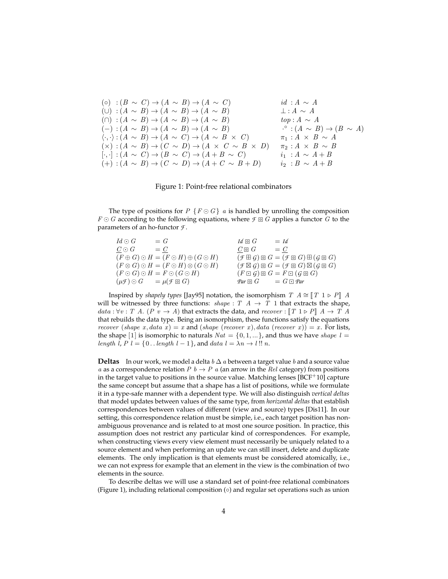\n- \n
$$
(o) : (B \sim C) \rightarrow (A \sim B) \rightarrow (A \sim C)
$$
\n
\n- \n $(l) : (A \sim B) \rightarrow (A \sim B) \rightarrow (A \sim B)$ \n
\n- \n $(m) : (A \sim B) \rightarrow (A \sim B) \rightarrow (A \sim B)$ \n
\n- \n $(m) : (A \sim B) \rightarrow (A \sim B) \rightarrow (A \sim B)$ \n
\n- \n $(m) : (A \sim B) \rightarrow (A \sim B) \rightarrow (A \sim B)$ \n
\n- \n $(m) : (A \sim B) \rightarrow (A \sim B) \rightarrow (A \sim B)$ \n
\n- \n $(m) : (A \sim B) \rightarrow (A \sim C) \rightarrow (A \sim B \times C)$ \n
\n- \n $(m) : (A \sim B) \rightarrow (B \sim C) \rightarrow (A \sim B \times C)$ \n
\n- \n $(m) : (A \sim B) \rightarrow (C \sim D) \rightarrow (A \times C \sim B \times D)$ \n
\n- \n $m_1 : A \times B \sim A$ \n
\n- \n $(m) : (A \sim B) \rightarrow (C \sim D) \rightarrow (A \times C \sim B \times D)$ \n
\n- \n $m_2 : A \times B \sim B$ \n
\n- \n $(m) : (A \sim B) \rightarrow (C \sim D) \rightarrow (A \times C \sim B \times D)$ \n
\n- \n $m_1 : A \times B \sim A$ \n
\n

#### Figure 1: Point-free relational combinators

The type of positions for  $P \{F \odot G\}$  a is handled by unrolling the composition  $F \odot G$  according to the following equations, where  $\mathcal{F} \boxdot G$  applies a functor G to the parameters of an ho-functor *F* .

| $Id \odot G$ | $= G$                                                      | $Id \mathbin{\textcircled{\scriptscriptstyle R}} G$ | $= Id$                                                                    |
|--------------|------------------------------------------------------------|-----------------------------------------------------|---------------------------------------------------------------------------|
| $C\odot G$   | $= C$                                                      | $C \mathbin{\boxdot} G$                             | $= C$                                                                     |
|              | $(F \oplus G) \odot H = (F \odot H) \oplus (G \odot H)$    |                                                     | $(f \boxplus G) \boxdot G = (f \boxdot G) \boxplus (g \boxdot G)$         |
|              | $(F \otimes G) \odot H = (F \odot H) \otimes (G \odot H)$  |                                                     | $(f \boxtimes G) \boxtimes G = (f \boxtimes G) \boxtimes (g \boxtimes G)$ |
|              | $(F \odot G) \odot H = F \odot (G \odot H)$                |                                                     | $(F \boxdot G) \boxdot G = F \boxdot (G \boxdot G)$                       |
|              | $(\mu \mathcal{F}) \odot G = \mu(\mathcal{F} \boxtimes G)$ |                                                     | $\mathcal{P}ar \boxdot G$ = $G \boxdot \mathcal{P}ar$                     |
|              |                                                            |                                                     |                                                                           |

Inspired by *shapely types* [Jay95] notation, the isomorphism  $T \nvert A \cong \ulcorner T \urcorner \rhd P \urcorner A$ will be witnessed by three functions:  $shape: T \, A \rightarrow T \, 1$  that extracts the shape, data :  $\forall v$  : T A. (P  $v \rightarrow A$ ) that extracts the data, and recover :  $\llbracket T \rvert 1 \triangleright P \rrbracket$   $A \rightarrow T A$ that rebuilds the data type. Being an isomorphism, these functions satisfy the equations recover (shape x, data x) = x and (shape (recover x), data (recover x)) = x. For lists, the shape [1] is isomorphic to naturals  $Nat = \{0, 1, ...\}$ , and thus we have shape  $l =$ length l,  $P$  l = {0... length l - 1}, and data l =  $\lambda n \rightarrow l$ !! n.

**Deltas** In our work, we model a delta  $b \Delta a$  between a target value b and a source value a as a correspondence relation  $P b \to P a$  (an arrow in the Rel category) from positions in the target value to positions in the source value. Matching lenses  $[BCF^+10]$  capture the same concept but assume that a shape has a list of positions, while we formulate it in a type-safe manner with a dependent type. We will also distinguish *vertical deltas* that model updates between values of the same type, from *horizontal deltas* that establish correspondences between values of different (view and source) types [Dis11]. In our setting, this correspondence relation must be simple, i.e., each target position has nonambiguous provenance and is related to at most one source position. In practice, this assumption does not restrict any particular kind of correspondences. For example, when constructing views every view element must necessarily be uniquely related to a source element and when performing an update we can still insert, delete and duplicate elements. The only implication is that elements must be considered atomically, i.e., we can not express for example that an element in the view is the combination of two elements in the source.

To describe deltas we will use a standard set of point-free relational combinators (Figure 1), including relational composition  $(○)$  and regular set operations such as union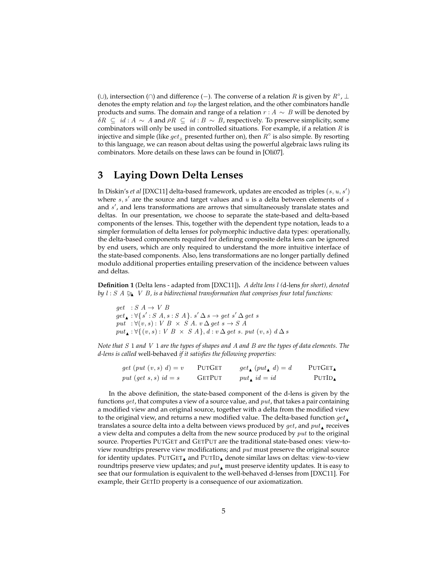(∪), intersection (∩) and difference (-). The converse of a relation R is given by  $R^{\circ}$ ,  $\perp$ denotes the empty relation and top the largest relation, and the other combinators handle products and sums. The domain and range of a relation  $r : A \sim B$  will be denoted by  $\delta R \subseteq id : A \sim A$  and  $\rho R \subseteq id : B \sim B$ , respectively. To preserve simplicity, some combinators will only be used in controlled situations. For example, if a relation  $R$  is injective and simple (like  $get_\Delta$  presented further on), then  $R^\circ$  is also simple. By resorting to this language, we can reason about deltas using the powerful algebraic laws ruling its combinators. More details on these laws can be found in [Oli07].

### **3 Laying Down Delta Lenses**

In Diskin's *et al* [DXC11] delta-based framework, updates are encoded as triples (s, u, s') where  $s, s'$  are the source and target values and  $u$  is a delta between elements of  $s$ and  $s'$ , and lens transformations are arrows that simultaneously translate states and deltas. In our presentation, we choose to separate the state-based and delta-based components of the lenses. This, together with the dependent type notation, leads to a simpler formulation of delta lenses for polymorphic inductive data types: operationally, the delta-based components required for defining composite delta lens can be ignored by end users, which are only required to understand the more intuitive interface of the state-based components. Also, lens transformations are no longer partially defined modulo additional properties entailing preservation of the incidence between values and deltas.

**Definition 1** (Delta lens - adapted from [DXC11])**.** *A delta lens* l *(*d-lens *for short), denoted by*  $l : S \land \geqslant V \land B$ , is a bidirectional transformation that comprises four total functions:

 $get \; : S \; A \rightarrow \; V \; B$  $get_{\blacktriangle} : \forall \{ s' : S \land s : S \land \}$ .  $s' \Delta s \rightarrow get \ s' \Delta get \ s'$ put :  $\forall (v, s) : V B \times S A$ .  $v \Delta get s \rightarrow S A$  $put_{\blacktriangle}: \forall \{(v, s): V \; B \times S \; A\}, d : v \; \Delta \; get \; s. \; put \; (v, s) \; d \; \Delta \; s$ 

*Note that* S 1 *and* V 1 *are the types of shapes and* A *and* B *are the types of data elements. The d-lens is called* well-behaved *if it satisfies the following properties:*

| $get\ (put\ (v, s)\ d) = v$ | PUTGET        | $get_{\blacktriangle}(put_{\blacktriangle} d) = d$ | <b>PUTGET</b> |
|-----------------------------|---------------|----------------------------------------------------|---------------|
| put (get $s, s$ ) id = s    | <b>GETPUT</b> | put, $id = id$                                     | PUTID         |

In the above definition, the state-based component of the d-lens is given by the functions  $get$ , that computes a view of a source value, and  $put$ , that takes a pair containing a modified view and an original source, together with a delta from the modified view to the original view, and returns a new modified value. The delta-based function  $get_{\blacktriangle}$ translates a source delta into a delta between views produced by  $get$ , and  $put_{\blacktriangle}$  receives a view delta and computes a delta from the new source produced by  $put$  to the original source. Properties PUTGET and GETPUT are the traditional state-based ones: view-toview roundtrips preserve view modifications; and  $put$  must preserve the original source for identity updates. PUTGET, and PUTID, denote similar laws on deltas: view-to-view roundtrips preserve view updates; and  $put_{\blacktriangle}$  must preserve identity updates. It is easy to see that our formulation is equivalent to the well-behaved d-lenses from [DXC11]. For example, their GETID property is a consequence of our axiomatization.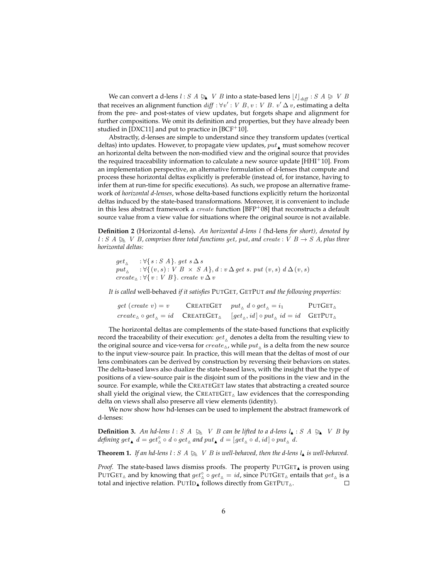We can convert a d-lens  $l : S A \geq V B$  into a state-based lens  $\lfloor l \rfloor_{diff} : S A \geq V B$ that receives an alignment function  $\mathit{diff} : \forall v' : V \; B, v : V \; B. \; v' \, \Delta \, v$ , estimating a delta from the pre- and post-states of view updates, but forgets shape and alignment for further compositions. We omit its definition and properties, but they have already been studied in [DXC11] and put to practice in [BCF<sup>+</sup>10].

Abstractly, d-lenses are simple to understand since they transform updates (vertical deltas) into updates. However, to propagate view updates,  $put_{\bullet}$  must somehow recover an horizontal delta between the non-modified view and the original source that provides the required traceability information to calculate a new source update [HHI<sup>+</sup>10]. From an implementation perspective, an alternative formulation of d-lenses that compute and process these horizontal deltas explicitly is preferable (instead of, for instance, having to infer them at run-time for specific executions). As such, we propose an alternative framework of *horizontal d-lenses*, whose delta-based functions explicitly return the horizontal deltas induced by the state-based transformations. Moreover, it is convenient to include in this less abstract framework a *create* function [BFP<sup>+</sup>08] that reconstructs a default source value from a view value for situations where the original source is not available.

**Definition 2** (Horizontal d-lens)**.** *An horizontal d-lens* l *(*hd-lens *for short), denoted by*  $l : S \land \geq N$  *V B, comprises three total functions get, put, and create* : *V B*  $\rightarrow$  *S A, plus three horizontal deltas:*

 $get_\vartriangle$  :  $\forall \{s : S \ A\}$ .  $get \ s\,\Delta\,s$  $put_{\wedge}$  :  $\forall \{(v, s) : V B \times S A\}, d : v \Delta get s. put (v, s) d \Delta(v, s)$  $create_{\Delta}: \forall \{v : V \mid B\}$ . create  $v \Delta v$ 

*It is called* well-behaved *if it satisfies* PUTGET*,* GETPUT *and the following properties:*

get (create  $v$ ) = v  $create_\Delta \circ get_\Delta = id \quad \textsf{CREATEGET}_\Delta \quad [get_\Delta, id] \circ put_\Delta \ id = id \quad \textsf{GETPUT}_\Delta$ CREATEGET  $put_{\Delta} d \circ get_{\Delta} = i_1$  PUTGET

The horizontal deltas are complements of the state-based functions that explicitly record the traceability of their execution:  $get_\wedge$  denotes a delta from the resulting view to the original source and vice-versa for  $create_\Delta$ , while  $put_\Delta$  is a delta from the new source to the input view-source pair. In practice, this will mean that the deltas of most of our lens combinators can be derived by construction by reversing their behaviors on states. The delta-based laws also dualize the state-based laws, with the insight that the type of positions of a view-source pair is the disjoint sum of the positions in the view and in the source. For example, while the CREATEGET law states that abstracting a created source shall yield the original view, the  $CREATEGET_\Delta$  law evidences that the corresponding delta on views shall also preserve all view elements (identity).

We now show how hd-lenses can be used to implement the abstract framework of d-lenses:

**Definition 3.** An hd-lens  $l : S \land \geq N$  V B can be lifted to a d-lens  $l_{\blacktriangle} : S \land \geq N$  V B by defining get,  $d = get_{\Delta}^{\circ} \circ d \circ get_{\Delta}$  and  $put_{\Delta} d = [get_{\Delta}^{\circ} \circ d, id] \circ put_{\Delta} d$ .

**Theorem 1.** If an hd-lens  $l : S \land \geq N$  *V B is well-behaved, then the d-lens*  $l_{\blacktriangle}$  *is well-behaved.* 

*Proof.* The state-based laws dismiss proofs. The property PUTGET, is proven using PUTGET<sub>A</sub> and by knowing that  $get_{\Delta}^{\circ} \circ get_{\Delta} = id$ , since PUTGET<sub>A</sub> entails that  $get_{\Delta}$  is a total and injective relation. PUTID<sub>A</sub> follows directly from  $GETPUT_{\Delta}$ . П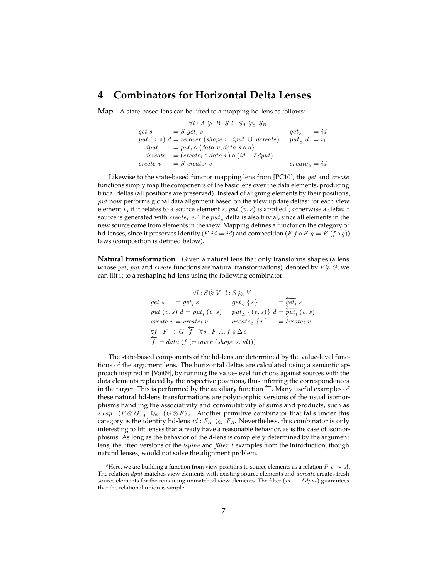#### **4 Combinators for Horizontal Delta Lenses**

**Map** A state-based lens can be lifted to a mapping hd-lens as follows:

$$
\forall l : A \geq B. \ S \ l : S_A \geq S_B
$$
  
get s = S get<sub>l</sub> s get<sub>l</sub> = id  
put (v, s) d = recover (shape v, dput  $\cup$  decrease) put<sub>l</sub> d = i<sub>1</sub>  
dput = put<sub>l</sub> o (data v, data s o d)  
decrete = (create<sub>l</sub> o data v) o (id – δdput)  
create v = S create<sub>l</sub> v create

Likewise to the state-based functor mapping lens from [PC10], the *get* and *create* functions simply map the components of the basic lens over the data elements, producing trivial deltas (all positions are preserved). Instead of aligning elements by their positions,  $put$  now performs global data alignment based on the view update deltas: for each view element  $v$ , if it relates to a source element  $s$ ,  $put$   $(v, s)$  is applied<sup>3</sup>; otherwise a default source is generated with  $create_l$  v. The  $put_\wedge$  delta is also trivial, since all elements in the new source come from elements in the view. Mapping defines a functor on the category of hd-lenses, since it preserves identity (F id = id) and composition (F  $f \circ F g = F (f \circ g)$ ) laws (composition is defined below).

**Natural transformation** Given a natural lens that only transforms shapes (a lens whose get, put and create functions are natural transformations), denoted by  $F \trianglerighteq G$ , we can lift it to a reshaping hd-lens using the following combinator:

$$
\forall l: S \succeq V. \overline{l}: S \succeq V
$$
  
get  $s = get_l s$  get<sub>1</sub>  $\{s\} = \frac{\overline{get_l}}{\overline{get_l}} s$   
put  $(v, s) d = put_l (v, s)$  put<sub>1</sub>  $\{(v, s)\} d = \frac{\overline{put_l}}{\overline{put_l}} (v, s)$   
create  $v = create_l v$  create<sub>2</sub>  $\{v\} = \frac{\overline{text_l}}{\overline{create_l}} v$   
 $\forall f: F \rightarrow G. \overline{f}: \forall s: F \land f s \Delta s$   
 $\overline{f} = data (f (recover (shape s, id)))$ 

The state-based components of the hd-lens are determined by the value-level functions of the argument lens. The horizontal deltas are calculated using a semantic approach inspired in [Voi09], by running the value-level functions against sources with the data elements replaced by the respective positions, thus inferring the correspondences in the target. This is performed by the auxiliary function ←−· . Many useful examples of these natural hd-lens transformations are polymorphic versions of the usual isomorphisms handling the associativity and commutativity of sums and products, such as swap :  $(F \otimes G)_A \geq (G \otimes F)_A$ . Another primitive combinator that falls under this category is the identity of long id :  $F \in \mathbb{R}$ . Nevertheless this combinator is only category is the identity hd-lens  $id : F_A \rhdg F_A$ . Nevertheless, this combinator is only interesting to lift lenses that already have a reasonable behavior, as is the case of isomorphisms. As long as the behavior of the d-lens is completely determined by the argument lens, the lifted versions of the *lspine* and *filter l* examples from the introduction, though natural lenses, would not solve the alignment problem.

<sup>&</sup>lt;sup>3</sup>Here, we are building a function from view positions to source elements as a relation  $P$  v  $\sim A$ . The relation *dput* matches view elements with existing source elements and *dcreate* creates fresh source elements for the remaining unmatched view elements. The filter  $(id - \delta dput)$  guarantees that the relational union is simple.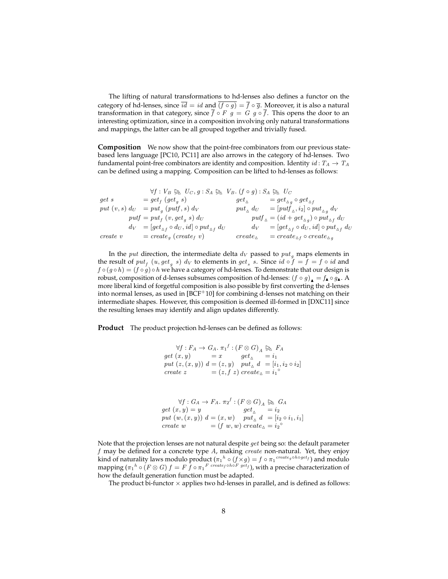The lifting of natural transformations to hd-lenses also defines a functor on the category of hd-lenses, since  $\overline{id} = id$  and  $\overline{(f \circ g)} = \overline{f} \circ \overline{g}$ . Moreover, it is also a natural transformation in that category, since  $\bar{f} \circ F \circ g = G \circ g \circ \bar{f}$ . This opens the door to an interesting optimization, since in a composition involving only natural transformations and mappings, the latter can be all grouped together and trivially fused.

**Composition** We now show that the point-free combinators from our previous statebased lens language [PC10, PC11] are also arrows in the category of hd-lenses. Two fundamental point-free combinators are identity and composition. Identity  $id: T_A \rightarrow T_A$ can be defined using a mapping. Composition can be lifted to hd-lenses as follows:

$$
\forall f: V_B \trianglerighteq U_C, g: S_A \trianglerighteq V_B. (f \circ g): S_A \trianglerighteq U_C
$$
\n
$$
\begin{array}{lll}\n\text{get } s & = get_f (get_g s) & get_\Delta & = get_{\Delta g} \circ get_{\Delta f} \\
\text{put } (v, s) \, dv & = put_g (putf, s) \, dv & put_\Delta \, dv & = [putf_\Delta, i_2] \circ put_{\Delta g} \, dv \\
\text{put } f & = put_f (v, get_g s) \, dv & put_\Delta \, dv & = [putf_\Delta, i_2] \circ put_{\Delta g} \, dv \\
\text{but } f & = put_f (v, get_g s) \, dv & put_\Delta \, dv & = [getf_\Delta, i_2] \circ put_{\Delta f} \, dv \\
\text{dt} & = (id + get_{\Delta g}) \circ put_{\Delta f} \, dv & = [getf_\Delta, i_2] \circ put_{\Delta f} \, dv \\
\text{create } v & = \text{create}_g (\text{create } v) & \text{create}_\Delta & = \text{create}_f \circ \text{create}_\Delta g \end{array}
$$

In the *put* direction, the intermediate delta  $d_V$  passed to  $put<sub>a</sub>$  maps elements in the result of  $put_f$   $(u, get_g s)$  d<sub>V</sub> to elements in  $get_s s$ . Since  $id \circ f = f = f \circ id$  and  $f \circ (g \circ h) = (f \circ g) \circ h$  we have a category of hd-lenses. To demonstrate that our design is robust, composition of d-lenses subsumes composition of hd-lenses:  $(f \circ g)$ <sub>A</sub> =  $f_A \circ g_A$ . A more liberal kind of forgetful composition is also possible by first converting the d-lenses into normal lenses, as used in [BCF<sup>+</sup>10] for combining d-lenses not matching on their intermediate shapes. However, this composition is deemed ill-formed in [DXC11] since the resulting lenses may identify and align updates differently.

**Product** The product projection hd-lenses can be defined as follows:

$$
\forall f: F_A \to G_A. \ \pi_1^f: (F \otimes G)_A \not\gtrsim F_A
$$
\n
$$
\begin{array}{lll}\n\text{get } (x, y) & = x & \text{get}_{\Delta} & = i_1 \\
\text{put } (z, (x, y)) & d = (z, y) & \text{put}_{\Delta} & d = [i_1, i_2 \circ i_2] \\
\text{create } z & = (z, f \ z) \text{ create}_{\Delta} = i_1^{\circ}\n\end{array}
$$

$$
\forall f: G_A \to F_A. \ \pi_2^f: (F \otimes G)_A \geq G_A
$$
  
get  $(x, y) = y$  get<sub>Delta</sub> =  $i_2$   
put  $(w, (x, y)) d = (x, w)$  put<sub>Delta</sub> d =  $[i_2 \circ i_1, i_1]$   
create  $w$  =  $(f w, w)$  create<sub>Delta</sub> =  $i_2^{\circ}$ 

Note that the projection lenses are not natural despite get being so: the default parameter  $f$  may be defined for a concrete type  $A$ , making  $create$  non-natural. Yet, they enjoy kind of naturality laws modulo product  $(\pi_1{}^h \circ (f \times g) = f \circ \pi_1{}^{create_g \circ h \circ get_f})$  and modulo mapping  $(\pi_1{}^h\circ (F\otimes G)\,f=F\,\tilde{f}\circ {\pi_1}^F$   $^{create_f\circ h\circ F}\,{}^{get_f})$ , with a precise characterization of how the default generation function must be adapted.

The product bi-functor  $\times$  applies two hd-lenses in parallel, and is defined as follows: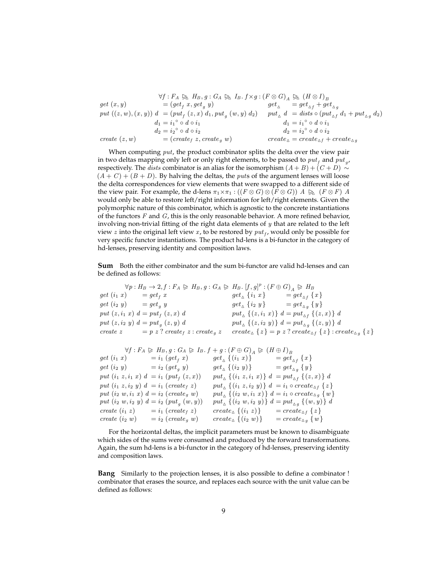$$
\forall f: F_A \trianglerighteq H_B, g: G_A \trianglerighteq H_B. f \times g: (F \otimes G)_A \trianglerighteq (H \otimes I)_B
$$
  
\nget  $(x, y)$   
\n
$$
= (get_f x, get_g y)
$$
  
\n
$$
put ((z, w), (x, y)) d = (put_f (z, x) d_1, put_g (w, y) d_2)
$$
  
\n
$$
d_1 = i_1^{\circ} \circ d \circ i_1
$$
  
\n
$$
d_2 = i_2^{\circ} \circ d \circ i_2
$$
  
\n
$$
create (z, w)
$$
  
\n
$$
f: F_A \trianglerighteq H_B, g: G_A \trianglerighteq H_B. f \times g: (F \otimes G)_A \trianglerighteq (H \otimes I)_B
$$
  
\n
$$
get_{\Delta} = get_{\Delta f} + get_{\Delta g}
$$
  
\n
$$
put ((z, w), (x, y)) d = (put_f (z, x) d_1, put_g (w, y) d_2)
$$
  
\n
$$
d_1 = i_1^{\circ} \circ d \circ i_1
$$
  
\n
$$
d_2 = i_2^{\circ} \circ d \circ i_2
$$
  
\n
$$
create_{\Delta} = create_{\Delta f} + create_{\Delta g}
$$

When computing  $put$ , the product combinator splits the delta over the view pair in two deltas mapping only left or only right elements, to be passed to  $put_f$  and  $put_g$ , respectively. The *dists* combinator is an alias for the isomorphism  $(A + B) + (C + D) \sim$  $(A + C) + (B + D)$ . By halving the deltas, the *puts* of the argument lenses will loose the delta correspondences for view elements that were swapped to a different side of the view pair. For example, the d-lens  $\pi_1 \times \pi_1 : ((F \otimes G) \otimes (F \otimes G))$   $A \geq (F \otimes F)$  A would only be able to restore left/right information for left/right elements. Given the polymorphic nature of this combinator, which is agnostic to the concrete instantiations of the functors  $F$  and  $G$ , this is the only reasonable behavior. A more refined behavior, involving non-trivial fitting of the right data elements of  $y$  that are related to the left view  $z$  into the original left view  $x$ , to be restored by  $\mathit{put}_f$ , would only be possible for very specific functor instantiations. The product hd-lens is a bi-functor in the category of hd-lenses, preserving identity and composition laws.

**Sum** Both the either combinator and the sum bi-functor are valid hd-lenses and can be defined as follows:

 $\forall p: H_B \rightarrow 2, f: F_A \triangleright H_B, g: G_A \triangleright H_B. [f, g]^p: (F \oplus G)_A \triangleright H_B$  $get (i_1 x) = get_f x$   $get_{\Delta} \{i_1 x\} = get_{\Delta f} \{x\}$  $get (i_2 y) = get_g y$   $get_{\Delta} {i_2 y} = get_{\Delta g} {y}$ put  $(z, i_1 \ x) d = put_f (z, x) d$   $put_{\Delta} \{(z, i_1 \ x) \} d = put_{\Delta f} \{(z, x) \} d$ put  $(z, i_2, y)$   $d = put_g(z, y) d$   $put_{\Delta} \{(z, i_2, y)\} d = put_{\Delta g} \{(z, y)\} d$ create  $z = p z$ ? create<sub>f</sub>  $z$  : create<sub>g</sub>  $z$  create<sub>A</sub> $\{z\} = p z$ ? create<sub>Af</sub>  $\{z\}$  : create<sub>Ag</sub>  $\{z\}$ 

 $\forall f: F_A \triangleright H_B, g: G_A \triangleright I_B. f + g: (F \oplus G)_A \triangleright (H \oplus I)_B$  $get (i_1 x) = i_1 (get_f x)$   $get_\Delta \{(i_1 x)\} = get_{\Delta f} \{x\}$  $get (i_2 y) = i_2 (get_g y)$   $get_{\Delta} \{(i_2 y)\} = get_{\Delta g} \{y\}$  $\begin{array}{lll} \textit{put}\; (i_1\; z, i_1\; x)\; d\; = i_1\; (\textit{put}_f\; (z,x)) \;\; & \textit{put}_{\vartriangle}\; \{(i_1\; z, i_1\; x)\}\; d\; = \textit{put}_{\vartriangle f}\; \{(z,x)\}\; d \end{array}$  $put (i_1 z, i_2 y) d = i_1 (create_f z) \qquad put \n_{\Delta} \{(i_1 z, i_2 y)\} d = i_1 \circ create_{\Delta f} \{z\}$ put  $(i_2 w, i_1 x) d = i_2 (create_g w)$  put<sub>△</sub>  $\{(i_2 w, i_1 x)\} d = i_1 \circ create_{\triangle_g} \{w\}$  $put (i_2 w, i_2 y) d = i_2 (put_{g} (w, y)) \text{ } put_{\Delta} \{(i_2 w, i_2 y)\} d = put_{\Delta g} \{(w, y)\} d$ create  $(i_1 z)$  =  $i_1$  (create<sub>f</sub> z) create<sub>A</sub> { $(i_1 z)$ } = create<sub>Af</sub> {z} create  $(i_2 w) = i_2$  (create<sub>g</sub> w) create<sub> $\Delta$ </sub> { $(i_2 w)$ } = create<sub> $\Delta$ g</sub> {w}

For the horizontal deltas, the implicit parameters must be known to disambiguate which sides of the sums were consumed and produced by the forward transformations. Again, the sum hd-lens is a bi-functor in the category of hd-lenses, preserving identity and composition laws.

**Bang** Similarly to the projection lenses, it is also possible to define a combinator ! combinator that erases the source, and replaces each source with the unit value can be defined as follows: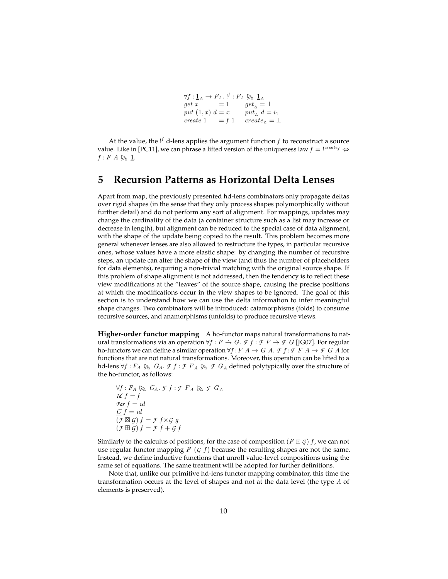$\begin{array}{lcl} \forall f:\mathbb{1}_A\rightarrow F_A. \; \text{!}^f:F_A\, \trianglerightright\!\!\!\!\!\searrow \mathbb{1}_A\ get\ x & =1 \hspace{1em} get_\wedge = \bot \end{array}$ put  $(1, x)$   $d = x$  put<sub> $\wedge$ </sub>  $d = i_1$ create 1 = f 1 create<sub> $\triangle$ </sub> =  $\perp$ 

At the value, the  $!^f$  d-lens applies the argument function  $f$  to reconstruct a source value. Like in [PC11], we can phrase a lifted version of the uniqueness law  $f = 1^{create_f} \Leftrightarrow$  $f: F A \geqslant 1.$ 

#### **5 Recursion Patterns as Horizontal Delta Lenses**

Apart from map, the previously presented hd-lens combinators only propagate deltas over rigid shapes (in the sense that they only process shapes polymorphically without further detail) and do not perform any sort of alignment. For mappings, updates may change the cardinality of the data (a container structure such as a list may increase or decrease in length), but alignment can be reduced to the special case of data alignment, with the shape of the update being copied to the result. This problem becomes more general whenever lenses are also allowed to restructure the types, in particular recursive ones, whose values have a more elastic shape: by changing the number of recursive steps, an update can alter the shape of the view (and thus the number of placeholders for data elements), requiring a non-trivial matching with the original source shape. If this problem of shape alignment is not addressed, then the tendency is to reflect these view modifications at the "leaves" of the source shape, causing the precise positions at which the modifications occur in the view shapes to be ignored. The goal of this section is to understand how we can use the delta information to infer meaningful shape changes. Two combinators will be introduced: catamorphisms (folds) to consume recursive sources, and anamorphisms (unfolds) to produce recursive views.

**Higher-order functor mapping** A ho-functor maps natural transformations to natural transformations via an operation  $\forall f : F \rightarrow G$ . *F*  $f : F \rightarrow F \rightarrow F$  G [JG07]. For regular ho-functors we can define a similar operation  $\forall f : F \land \neg G \land f : F \land \neg F \land f \land f$  or functions that are not natural transformations. Moreover, this operation can be lifted to a hd-lens  $\forall f : F_A \trianglerighteq G_A$ . *F f* : *F*  $F_A \trianglerighteq f$  *f*  $G_A$  defined polytypically over the structure of the ho-functor, as follows:

 $\forall f: F_A \trianglerighteq_{\Delta} G_A$ . *F*  $f: F A \trianglerighteq_{\Delta} f G_A$ *Id*  $f = f$  $\operatorname{Par} f = id$  $C f = id$  $(f \boxtimes \mathcal{G}) f = \mathcal{F} f \times \mathcal{G} g$  $(f \boxplus G) f = f f + f f$ 

Similarly to the calculus of positions, for the case of composition ( $F \square G$ ) f, we can not use regular functor mapping  $F$  ( $G$   $f$ ) because the resulting shapes are not the same. Instead, we define inductive functions that unroll value-level compositions using the same set of equations. The same treatment will be adopted for further definitions.

Note that, unlike our primitive hd-lens functor mapping combinator, this time the transformation occurs at the level of shapes and not at the data level (the type A of elements is preserved).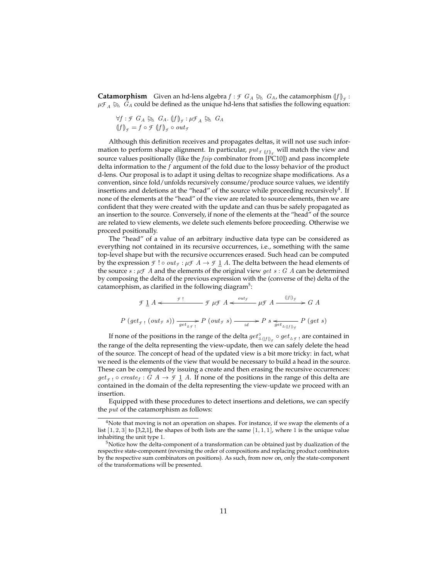**Catamorphism** Given an hd-lens algebra  $f : \mathcal{F} \times G_A \succeq G_A$ , the catamorphism  $\langle f | f_{\mathcal{F}} : \mathcal{F} \times G_A \times G_A \rangle$  $\mu_{A} \trianglerighteq G_A$  could be defined as the unique hd-lens that satisfies the following equation:

$$
\forall f: \mathcal{F} \ G_A \not\trianglerighteq G_A. \ (f)_{\mathcal{F}}: \mu \mathcal{F}_A \not\trianglerighteq G_A
$$
  

$$
(f)_{\mathcal{F}} = f \circ \mathcal{F} \ (f)_{\mathcal{F}} \circ out_{\mathcal{F}}
$$

Although this definition receives and propagates deltas, it will not use such information to perform shape alignment. In particular,  $\mathit{put}_{\mathit{f\text{ (f)}}_{\mathit{f}}}$  will match the view and source values positionally (like the  $fzip$  combinator from [PC10]) and pass incomplete delta information to the f argument of the fold due to the lossy behavior of the product d-lens. Our proposal is to adapt it using deltas to recognize shape modifications. As a convention, since fold/unfolds recursively consume/produce source values, we identify insertions and deletions at the "head" of the source while proceeding recursively<sup>4</sup>. If none of the elements at the "head" of the view are related to source elements, then we are confident that they were created with the update and can thus be safely propagated as an insertion to the source. Conversely, if none of the elements at the "head" of the source are related to view elements, we delete such elements before proceeding. Otherwise we proceed positionally.

The "head" of a value of an arbitrary inductive data type can be considered as everything not contained in its recursive occurrences, i.e., something with the same top-level shape but with the recursive occurrences erased. Such head can be computed by the expression  $\mathcal F$  ! ◦  $out_{\mathcal F}: \mu \mathcal F \land \rightarrow \mathcal F \perp \land$  The delta between the head elements of the source  $s : \mu \mathcal{F}$  A and the elements of the original view *get*  $s : G$  A can be determined by composing the delta of the previous expression with the (converse of the) delta of the catamorphism, as clarified in the following diagram $5$ :

$$
\mathcal{F} \perp A \xleftarrow{\mathcal{F} \perp} \mathcal{F} \mu \mathcal{F} A \xleftarrow{\text{out}_{\mathcal{F}}} \mu \mathcal{F} A \xrightarrow{\text{(If)}_{\mathcal{F}}} G A
$$
\n
$$
P \left( \text{get}_{\mathcal{F} \perp} (\text{out}_{\mathcal{F}} s) \right) \xrightarrow{\mathcal{F} \perp} P \left( \text{out}_{\mathcal{F}} s \right) \xrightarrow{\text{id}} P s \xleftarrow{\text{det}_{\Delta(f)} P} P \left( \text{get } s \right)
$$

If none of the positions in the range of the delta  $get_{\Delta(f)|_f}^{\circ} \circ get_{\Delta f}$ <sub>!</sub> are contained in the range of the delta representing the view-update, then we can safely delete the head of the source. The concept of head of the updated view is a bit more tricky: in fact, what we need is the elements of the view that would be necessary to build a head in the source. These can be computed by issuing a create and then erasing the recursive occurrences:  $get_{f}$  o create<sub>f</sub> :  $G A \rightarrow \mathcal{F} \perp A$ . If none of the positions in the range of this delta are contained in the domain of the delta representing the view-update we proceed with an insertion.

Equipped with these procedures to detect insertions and deletions, we can specify the put of the catamorphism as follows:

 $4$ Note that moving is not an operation on shapes. For instance, if we swap the elements of a list  $[1, 2, 3]$  to  $[3, 2, 1]$ , the shapes of both lists are the same  $[1, 1, 1]$ , where 1 is the unique value inhabiting the unit type 1.

 $5$ Notice how the delta-component of a transformation can be obtained just by dualization of the respective state-component (reversing the order of compositions and replacing product combinators by the respective sum combinators on positions). As such, from now on, only the state-component of the transformations will be presented.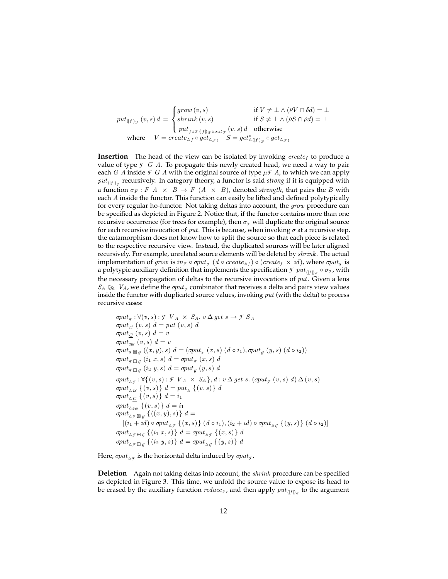$put_{\left\Vert{f}\right\Vert_{\mathcal{F}}}(v,s)\,d\,=\,$  $\sqrt{ }$  $\int$  $\mathbf{I}$  $grow(v, s)$  if  $V \neq \bot \wedge (\rho V \cap \delta d) = \bot$ shrink  $(v, s)$  if  $S \neq \perp \wedge (\rho S \cap \rho d) = \perp$  $put_{f\circ \mathcal{F}\left( \left\vert f\right\rangle _{\mathcal{F}}\circ out_{\mathcal{F}}\left( v,s\right) d\quad \text{otherwise}$ where  $V = create_{\Delta f} \circ get_{\Delta g}$ ,  $S = get_{\Delta g}^{\circ} f|_{g} \circ get_{\Delta g}$ 

**Insertion** The head of the view can be isolated by invoking  $create_f$  to produce a value of type  $\mathcal F$   $G$   $A$ . To propagate this newly created head, we need a way to pair each *G* A inside  $\mathcal F$  *G* A with the original source of type  $\mu \mathcal F$  A, to which we can apply  $\mathit{put}_{(\lfloor f\rfloor)_\mathcal{F}}$  recursively. In category theory, a functor is said *strong* if it is equipped with a function  $\sigma_F : F \times A \times B \to F (A \times B)$ , denoted *strength*, that pairs the B with each A inside the functor. This function can easily be lifted and defined polytypically for every regular ho-functor. Not taking deltas into account, the grow procedure can be specified as depicted in Figure 2. Notice that, if the functor contains more than one recursive occurrence (for trees for example), then  $\sigma_f$  will duplicate the original source for each recursive invocation of put. This is because, when invoking  $\sigma$  at a recursive step, the catamorphism does not know how to split the source so that each piece is related to the respective recursive view. Instead, the duplicated sources will be later aligned recursively. For example, unrelated source elements will be deleted by *shrink*. The actual implementation of  $grow$  is  $in_{\mathcal{F}} \circ \sigma put_{\mathcal{F}}(d \circ create_{\Delta f}) \circ (create_f \times id)$ , where  $\sigma put_{\mathcal{F}}$  is a polytypic auxiliary definition that implements the specification  ${\mathcal F}$   ${\it put}_{(\lfloor f \rfloor)_{{\mathcal F}}} \circ \sigma_{{\mathcal F}}$ , with the necessary propagation of deltas to the recursive invocations of  $put$ . Given a lens  $S_A \trianglerighteq V_A$ , we define the  $\sigma put_f$  combinator that receives a delta and pairs view values<br>incide the functor with duplicated source values, invoking *mut* (with the delta) to process inside the functor with duplicated source values, invoking  $put$  (with the delta) to process recursive cases:

 $\sigma put_{\mathcal{F}} : \forall (v, s) : \mathcal{F} \ V_A \times S_A$ .  $v \Delta get s \rightarrow \mathcal{F} \ S_A$ σput<sub>Id</sub>  $(v, s)$   $d = put (v, s)$   $d$  $\sigma put_C\ (v, s)\ d = v$  $\varphi_{\text{part}}(v, s) d = v$  $\mathit{\mathit{optt}}_{\mathit{f}}$   $\boxtimes_{\mathit{G}}((x, y), s)$   $d = (\mathit{\mathit{optt}}_{\mathit{f}}(x, s) (d \circ i_1), \mathit{\mathit{optt}}_{\mathit{G}}(y, s) (d \circ i_2))$  $\sigma put_{\mathcal{F} \boxplus \mathcal{G}} (i_1 \ x, s) \ d = \sigma put_{\mathcal{F}} (x, s) \ d$  $\sigma put_{\mathcal{F} \boxplus \mathcal{G}} (i_2 \ y, s) \ d = \sigma put_{\mathcal{G}} (y, s) \ d$  ${\mathit opt}_{\Delta f} : \forall \{ (v,s) : \text{\textit{F}} \ \ V_A \ \times \ S_A \}, \ d : v \, \Delta \, {\mathit get} \ \ s. \ (\mathit{opt}_f \ (v,s) \ \ d) \, \Delta \, (v,s)$  $\varphi_{\text{out}_{\Delta_{\textit{Id}}}} \{(v, s) \} \ d = \text{put}_{\Delta} \{(v, s) \} \ d$  $\mathit{\sigma}put_{\triangle C}$   $\{(v, s)\}\ d = i_1$ σput<sub>Δ Par</sub>  $\{(v, s)\}\ d = i_1$  $\mathit{\sigma}put_{\Delta\mathcal{F}}\boxtimes_{\mathcal{G}}\{((x,y),s)\}\,\,d=$  $[(i_1 + id) \circ \sigma put_{\Delta_{\mathcal{F}}} \{ (x, s) \} (d \circ i_1), (i_2 + id) \circ \sigma put_{\Delta_{\mathcal{G}}} \{ (y, s) \} (d \circ i_2)]$  ${\sigma}put_{\Delta\mathcal{F}\boxplus\mathcal{G}}\ \left\{\left(i_1\ x,s\right)\right\}\ d={\sigma}put_{\Delta\mathcal{F}}\ \left\{\left(x,s\right)\right\}\ d$  $\mathit{\sigma}put_{\Delta\mathcal{F}}\,\mathop{\oplus}_\mathcal{G}\,\left\{\left(i_2\;y,s\right)\right\}\,d=\mathit{\sigma}put_{\Delta\mathcal{G}}\,\left\{\left(y,s\right)\right\}\,d$ 

Here,  $\sigma put_{\Delta f}$  is the horizontal delta induced by  $\sigma put_f$ .

**Deletion** Again not taking deltas into account, the shrink procedure can be specified as depicted in Figure 3. This time, we unfold the source value to expose its head to be erased by the auxiliary function  $reduce_{\mathcal{F}}$ , and then apply  ${\it put}_{(\lfloor f \rfloor)_{\mathcal{F}}}$  to the argument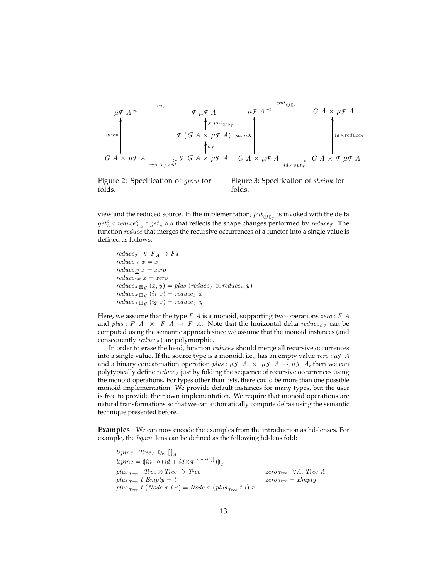$$
\mu \mathcal{F} A \leftarrow \begin{array}{c}\n\mu \mathcal{F} A & \mu \mathcal{F} A & \mu \mathcal{F} A \\
\downarrow \uparrow \text{true} & \uparrow \text{true} \\
\downarrow \text{true} & \uparrow \text{true} \\
\downarrow \text{true} & \uparrow \text{true} \\
\downarrow \text{true} & \uparrow \text{true} \\
\downarrow \text{true} & \downarrow \text{true} \\
\downarrow \text{true} & \downarrow \text{true} \\
\downarrow \text{true} & \downarrow \text{true} \\
\downarrow \text{true} & \downarrow \text{true} \\
\downarrow \text{true} & \downarrow \text{true} \\
\downarrow \text{true} & \downarrow \text{true} \\
\downarrow \text{true} & \downarrow \text{true} \\
\downarrow \text{true} & \downarrow \text{true} \\
\downarrow \text{true} & \downarrow \text{true} \\
\downarrow \text{true} & \downarrow \text{true} \\
\downarrow \text{true} & \downarrow \text{true} \\
\downarrow \text{true} & \downarrow \text{true} \\
\downarrow \text{true} & \downarrow \text{true} \\
\downarrow \text{true} & \downarrow \text{true} \\
\downarrow \text{true} & \downarrow \text{true} \\
\downarrow \text{true} & \downarrow \text{true} \\
\downarrow \text{true} & \downarrow \text{true} \\
\downarrow \text{true} & \downarrow \text{true} \\
\downarrow \text{true} & \downarrow \text{true} \\
\downarrow \text{true} & \downarrow \text{true} \\
\downarrow \text{true} & \downarrow \text{true} \\
\downarrow \text{true} & \downarrow \text{true} \\
\downarrow \text{true} & \downarrow \text{true} \\
\downarrow \text{true} & \downarrow \text{true} \\
\downarrow \text{true} & \downarrow \text{true} \\
\downarrow \text{true} & \downarrow \text{true} \\
\downarrow \text{true} & \downarrow \text{true} \\
\downarrow \text{true} & \downarrow \text{true} \\
\downarrow \text{true} & \downarrow \text{true} \\
\downarrow \text{true} & \downarrow \text{true} \\
\downarrow \text{true} & \downarrow \text{true} \\
\downarrow
$$

Figure 2: Specification of grow for folds.

Figure 3: Specification of shrink for folds.

view and the reduced source. In the implementation,  $\mathit{put}_{(\lfloor f \rfloor)_f}$  is invoked with the delta  $get_{\Delta}^{\circ} \circ reduce_{\mathcal{F}_{\Delta}}^{\circ} \circ get_{\Delta} \circ d$  that reflects the shape changes performed by  $reduce_{\mathcal{F}}$ . The function reduce that merges the recursive occurrences of a functor into a single value is defined as follows:

 $reduce_f : \mathcal{F} \ F_A \rightarrow F_A$  $reduce_{Id} x = x$  $reduce_C$   $x = zero$  $reduce_{\textit{Par}} x = zero$  $reduce_{\mathcal{F}} \boxtimes_{\mathcal{G}} (x, y) = plus (reduce_{\mathcal{F}} x, reduce_{\mathcal{G}} y)$  $reduce_{\mathcal{F} \boxplus \mathcal{G}} (i_1 x) = reduce_{\mathcal{F}} x$  $reduce_{\mathcal{F}} \boxplus G$  (i2 x) = reduce<sub>f</sub> y

Here, we assume that the type  $F \nightharpoonup A$  is a monoid, supporting two operations  $zero : F \nightharpoonup A$ and plus : F A  $\times$  F A  $\rightarrow$  F A. Note that the horizontal delta reduce  $\Delta_f$  can be computed using the semantic approach since we assume that the monoid instances (and consequently  $reduce_f$ ) are polymorphic.

In order to erase the head, function  $reduce_f$  should merge all recursive occurrences into a single value. If the source type is a monoid, i.e., has an empty value  $zero: \mu \in A$ and a binary concatenation operation  $plus : \mu \nsubseteq A \times \mu \nsubseteq A \rightarrow \mu \nsubseteq A$ , then we can polytypically define  $reduce_f$  just by folding the sequence of recursive occurrences using the monoid operations. For types other than lists, there could be more than one possible monoid implementation. We provide default instances for many types, but the user is free to provide their own implementation. We require that monoid operations are natural transformations so that we can automatically compute deltas using the semantic technique presented before.

**Examples** We can now encode the examples from the introduction as hd-lenses. For example, the *lspine* lens can be defined as the following hd-lens fold:

 $lspine: Tree_A \geqslant []_A$  $lspine = (in<sub>L</sub> \circ (id + id \times \pi_1^{const} [i]))_q$ plus  $_{Tree}$ : Tree  $\otimes$  Tree  $\rightarrow$  Tree  $\otimes$  Tree A plus  $_{Tree}$  t  $Empty = t$   $zero_{Tree} = Empty$ plus <sub>Tree</sub> t (Node x l r) = Node x (plus <sub>Tree</sub> t l) r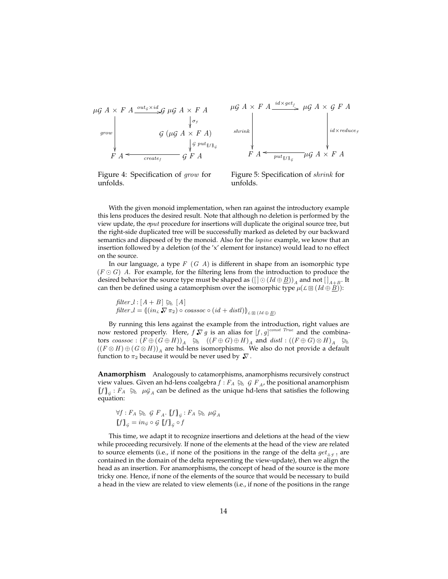

Figure 4: Specification of grow for unfolds.



Figure 5: Specification of shrink for unfolds.

With the given monoid implementation, when ran against the introductory example this lens produces the desired result. Note that although no deletion is performed by the view update, the σput procedure for insertions will duplicate the original source tree, but the right-side duplicated tree will be successfully marked as deleted by our backward semantics and disposed of by the monoid. Also for the *lspine* example, we know that an insertion followed by a deletion (of the 'x' element for instance) would lead to no effect on the source.

In our language, a type  $F(G \cap A)$  is different in shape from an isomorphic type  $(F \odot G)$  A. For example, for the filtering lens from the introduction to produce the desired behavior the source type must be shaped as  $([\,] \odot (Id \oplus \underline{B}))_A$  and not  $[\,]_{A+B}.$  It can then be defined using a catamorphism over the isomorphic type  $\mu(\mathcal{L} \boxtimes (Id \oplus \underline{B}))$ :

filter  $l : [A + B] \geqslant [A]$  $filter\_l = ((in_{\mathcal{L}} \nabla \pi_2) \circ coassoc \circ (id + distl))_{\mathcal{L} \boxdot (Id \oplus \underline{B})}$ 

By running this lens against the example from the introduction, right values are now restored properly. Here,  $f \nabla g$  is an alias for  $[f, g]^{const \; True}$  and the combinators  $\cos s\cos : (F \oplus (G \oplus H))_A \otimes ((F \oplus G) \oplus H)_A$  and  $dist : ((F \oplus G) \otimes H)_A \otimes ((F \otimes H) \otimes (G \otimes H))_A$  $((F \otimes H) \oplus (G \otimes H))_A$  are hd-lens isomorphisms. We also do not provide a default function to  $\pi_2$  because it would be never used by  $\sqrt{\mathbf{v}}$ .

**Anamorphism** Analogously to catamorphisms, anamorphisms recursively construct view values. Given an hd-lens coalgebra  $f : F_A \trianglerighteq_{\mathcal{A}} G F_A$ , the positional anamorphism<br> $f \colon P_A \rightarrow_{\mathcal{A}} \mathcal{A}$  and be defined as the unique hd-lens that satisfies the following  $[f]_g : F_A \simeq \mu G_A$  can be defined as the unique hd-lens that satisfies the following<br>countion: equation:

$$
\forall f: F_A \trianglerighteq_{\mathcal{A}} \mathcal{G} F_A. [f]_g: F_A \trianglerighteq_{\mathcal{A}} \mu \mathcal{G}_A
$$
  

$$
[f]_g = in_g \circ \mathcal{G} [f]_g \circ f
$$

This time, we adapt it to recognize insertions and deletions at the head of the view while proceeding recursively. If none of the elements at the head of the view are related to source elements (i.e., if none of the positions in the range of the delta  $get_{\Delta f}$  ! are contained in the domain of the delta representing the view-update), then we align the head as an insertion. For anamorphisms, the concept of head of the source is the more tricky one. Hence, if none of the elements of the source that would be necessary to build a head in the view are related to view elements (i.e., if none of the positions in the range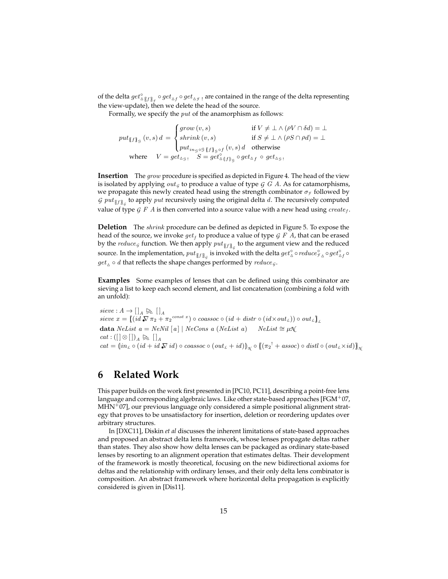of the delta  $get_{\Delta [f]\!\mid_{\mathcal F}}^{\otimes} get_{\Delta f}\circ get_{\Delta \mathcal F}$ , are contained in the range of the delta representing the view-update), then we delete the head of the source.

Formally, we specify the *put* of the anamorphism as follows:

 $put_{\llbracket f \rrbracket_{\mathcal{G}}}(v,s) d =$  $\sqrt{ }$  $\int$  $\mathbf{I}$  $grow(v, s)$  if  $V \neq \bot \wedge (\rho V \cap \delta d) = \bot$ shrink  $(v, s)$  if  $S \neq \perp \wedge (\rho S \cap \rho d) = \perp$  $put_{i_{n_{\mathcal{G}}\circ\mathcal{G}}\llbracket f\rrbracket_{\mathcal{G}}\circ f}(v,s)\,d\quad\text{otherwise}$ where  $V = get_{\Delta g}$   $S = get_{\Delta g}^{o}$   $get_{\Delta g}^{o}$   $get_{\Delta f}^{o}$   $get_{\Delta g}$ 

**Insertion** The grow procedure is specified as depicted in Figure 4. The head of the view is isolated by applying  $out_G$  to produce a value of type  $G$   $\tilde{G}$  A. As for catamorphisms, we propagate this newly created head using the strength combinator  $σ<sub>f</sub>$  followed by *G*  $put_{\llbracket f \rrbracket_{G}}$  to apply  $put$  recursively using the original delta  $d$ . The recursively computed value of type  $G \nmid F \nmid A$  is then converted into a source value with a new head using create<sub>f</sub>.

**Deletion** The shrink procedure can be defined as depicted in Figure 5. To expose the head of the source, we invoke  $get_f$  to produce a value of type  $\mathcal G$   $F$   $A$ , that can be erased by the  $reduce_{\mathcal{G}}$  function. We then apply  $put_{\llbracket f \rrbracket_{\mathcal{G}}}$  to the argument view and the reduced source. In the implementation,  $put_{\llbracket f \rrbracket _{\mathcal{G}}}$  is invoked with the delta  $get_\Delta^{\circ} \circ reduce_{f_\Delta}^{\circ} \circ get_{\Delta f}^{\circ} \circ$  $get_{\Delta} \circ d$  that reflects the shape changes performed by  $reduce_{\mathcal{G}}$ .

**Examples** Some examples of lenses that can be defined using this combinator are sieving a list to keep each second element, and list concatenation (combining a fold with an unfold):

 $sieve: A \to []_A \not\gtrsim []_A$ <br>  $sieve x = [(id \nabla \pi_2 + \pi_2^{const x}) \circ coassoc \circ (id + distr \circ (id \times out_L)) \circ out_L)]_L$ data NeList  $a = NeNil [a] | NeCons a (NeList a)$  NeList ≅ µ $\mathcal{N}$  $cat : ([] \otimes []_A \trianglerighteq [ ]_A$  $cat = (in_L \circ (id + id \nabla id) \circ coassoc \circ (out_L + id))_{\mathcal{N}} \circ ((\pi_2^{\perp} + assoc) \circ distl \circ (out_L \times id))_{\mathcal{N}}$ 

#### **6 Related Work**

This paper builds on the work first presented in [PC10, PC11], describing a point-free lens language and corresponding algebraic laws. Like other state-based approaches [FGM+07,  $MHN<sup>+</sup>07$ , our previous language only considered a simple positional alignment strategy that proves to be unsatisfactory for insertion, deletion or reordering updates over arbitrary structures.

In [DXC11], Diskin *et al* discusses the inherent limitations of state-based approaches and proposed an abstract delta lens framework, whose lenses propagate deltas rather than states. They also show how delta lenses can be packaged as ordinary state-based lenses by resorting to an alignment operation that estimates deltas. Their development of the framework is mostly theoretical, focusing on the new bidirectional axioms for deltas and the relationship with ordinary lenses, and their only delta lens combinator is composition. An abstract framework where horizontal delta propagation is explicitly considered is given in [Dis11].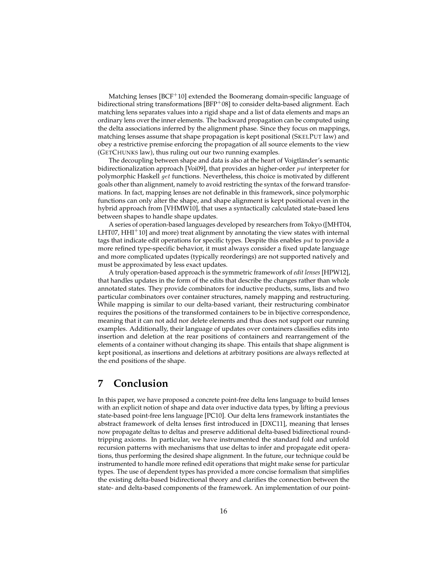Matching lenses [BCF<sup>+</sup>10] extended the Boomerang domain-specific language of bidirectional string transformations  $[BFP<sup>+</sup>08]$  to consider delta-based alignment. Each matching lens separates values into a rigid shape and a list of data elements and maps an ordinary lens over the inner elements. The backward propagation can be computed using the delta associations inferred by the alignment phase. Since they focus on mappings, matching lenses assume that shape propagation is kept positional (SKELPUT law) and obey a restrictive premise enforcing the propagation of all source elements to the view (GETCHUNKS law), thus ruling out our two running examples.

The decoupling between shape and data is also at the heart of Voigtländer's semantic bidirectionalization approach [Voi09], that provides an higher-order put interpreter for polymorphic Haskell get functions. Nevertheless, this choice is motivated by different goals other than alignment, namely to avoid restricting the syntax of the forward transformations. In fact, mapping lenses are not definable in this framework, since polymorphic functions can only alter the shape, and shape alignment is kept positional even in the hybrid approach from [VHMW10], that uses a syntactically calculated state-based lens between shapes to handle shape updates.

A series of operation-based languages developed by researchers from Tokyo ([MHT04, LHT07,  $HHI<sup>+</sup>10$ ] and more) treat alignment by annotating the view states with internal tags that indicate edit operations for specific types. Despite this enables  $put$  to provide a more refined type-specific behavior, it must always consider a fixed update language and more complicated updates (typically reorderings) are not supported natively and must be approximated by less exact updates.

A truly operation-based approach is the symmetric framework of *edit lenses* [HPW12], that handles updates in the form of the edits that describe the changes rather than whole annotated states. They provide combinators for inductive products, sums, lists and two particular combinators over container structures, namely mapping and restructuring. While mapping is similar to our delta-based variant, their restructuring combinator requires the positions of the transformed containers to be in bijective correspondence, meaning that it can not add nor delete elements and thus does not support our running examples. Additionally, their language of updates over containers classifies edits into insertion and deletion at the rear positions of containers and rearrangement of the elements of a container without changing its shape. This entails that shape alignment is kept positional, as insertions and deletions at arbitrary positions are always reflected at the end positions of the shape.

## **7 Conclusion**

In this paper, we have proposed a concrete point-free delta lens language to build lenses with an explicit notion of shape and data over inductive data types, by lifting a previous state-based point-free lens language [PC10]. Our delta lens framework instantiates the abstract framework of delta lenses first introduced in [DXC11], meaning that lenses now propagate deltas to deltas and preserve additional delta-based bidirectional roundtripping axioms. In particular, we have instrumented the standard fold and unfold recursion patterns with mechanisms that use deltas to infer and propagate edit operations, thus performing the desired shape alignment. In the future, our technique could be instrumented to handle more refined edit operations that might make sense for particular types. The use of dependent types has provided a more concise formalism that simplifies the existing delta-based bidirectional theory and clarifies the connection between the state- and delta-based components of the framework. An implementation of our point-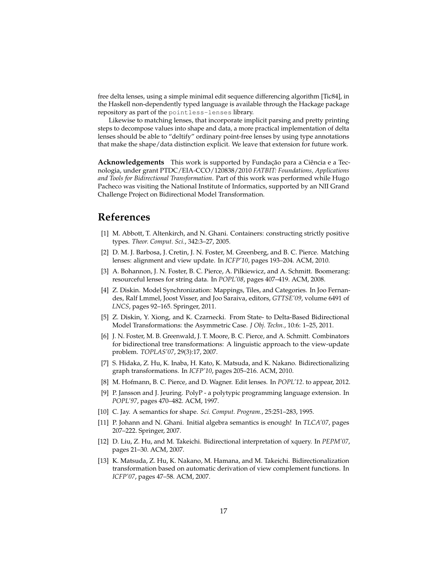free delta lenses, using a simple minimal edit sequence differencing algorithm [Tic84], in the Haskell non-dependently typed language is available through the Hackage package repository as part of the pointless-lenses library.

Likewise to matching lenses, that incorporate implicit parsing and pretty printing steps to decompose values into shape and data, a more practical implementation of delta lenses should be able to "deltify" ordinary point-free lenses by using type annotations that make the shape/data distinction explicit. We leave that extension for future work.

**Acknowledgements** This work is supported by Fundação para a Ciência e a Tecnologia, under grant PTDC/EIA-CCO/120838/2010 *FATBIT: Foundations, Applications and Tools for Bidirectional Transformation*. Part of this work was performed while Hugo Pacheco was visiting the National Institute of Informatics, supported by an NII Grand Challenge Project on Bidirectional Model Transformation.

### **References**

- [1] M. Abbott, T. Altenkirch, and N. Ghani. Containers: constructing strictly positive types. *Theor. Comput. Sci.*, 342:3–27, 2005.
- [2] D. M. J. Barbosa, J. Cretin, J. N. Foster, M. Greenberg, and B. C. Pierce. Matching lenses: alignment and view update. In *ICFP'10*, pages 193–204. ACM, 2010.
- [3] A. Bohannon, J. N. Foster, B. C. Pierce, A. Pilkiewicz, and A. Schmitt. Boomerang: resourceful lenses for string data. In *POPL'08*, pages 407–419. ACM, 2008.
- [4] Z. Diskin. Model Synchronization: Mappings, Tiles, and Categories. In Joo Fernandes, Ralf Lmmel, Joost Visser, and Joo Saraiva, editors, *GTTSE'09*, volume 6491 of *LNCS*, pages 92–165. Springer, 2011.
- [5] Z. Diskin, Y. Xiong, and K. Czarnecki. From State- to Delta-Based Bidirectional Model Transformations: the Asymmetric Case. *J Obj. Techn.*, 10:6: 1–25, 2011.
- [6] J. N. Foster, M. B. Greenwald, J. T. Moore, B. C. Pierce, and A. Schmitt. Combinators for bidirectional tree transformations: A linguistic approach to the view-update problem. *TOPLAS'07*, 29(3):17, 2007.
- [7] S. Hidaka, Z. Hu, K. Inaba, H. Kato, K. Matsuda, and K. Nakano. Bidirectionalizing graph transformations. In *ICFP'10*, pages 205–216. ACM, 2010.
- [8] M. Hofmann, B. C. Pierce, and D. Wagner. Edit lenses. In *POPL'12*. to appear, 2012.
- [9] P. Jansson and J. Jeuring. PolyP a polytypic programming language extension. In *POPL'97*, pages 470–482. ACM, 1997.
- [10] C. Jay. A semantics for shape. *Sci. Comput. Program.*, 25:251–283, 1995.
- [11] P. Johann and N. Ghani. Initial algebra semantics is enough! In *TLCA'07*, pages 207–222. Springer, 2007.
- [12] D. Liu, Z. Hu, and M. Takeichi. Bidirectional interpretation of xquery. In *PEPM'07*, pages 21–30. ACM, 2007.
- [13] K. Matsuda, Z. Hu, K. Nakano, M. Hamana, and M. Takeichi. Bidirectionalization transformation based on automatic derivation of view complement functions. In *ICFP'07*, pages 47–58. ACM, 2007.